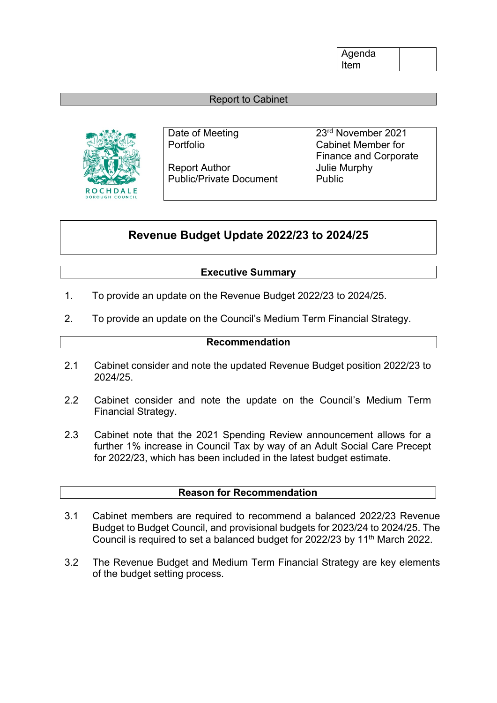Agenda Item

# Report to Cabinet



Report Author **In the Separate Separate Separate Author** Julie Murphy Public/Private Document Public

Date of Meeting 23<sup>rd</sup> November 2021 Portfolio Cabinet Member for Finance and Corporate

# **Revenue Budget Update 2022/23 to 2024/25**

# **Executive Summary**

- 1. To provide an update on the Revenue Budget 2022/23 to 2024/25.
- 2. To provide an update on the Council's Medium Term Financial Strategy.

# **Recommendation**

- 2.1 Cabinet consider and note the updated Revenue Budget position 2022/23 to 2024/25.
- 2.2 Cabinet consider and note the update on the Council's Medium Term Financial Strategy.
- 2.3 Cabinet note that the 2021 Spending Review announcement allows for a further 1% increase in Council Tax by way of an Adult Social Care Precept for 2022/23, which has been included in the latest budget estimate.

# **Reason for Recommendation**

- 3.1 Cabinet members are required to recommend a balanced 2022/23 Revenue Budget to Budget Council, and provisional budgets for 2023/24 to 2024/25. The Council is required to set a balanced budget for 2022/23 by 11<sup>th</sup> March 2022.
- 3.2 The Revenue Budget and Medium Term Financial Strategy are key elements of the budget setting process.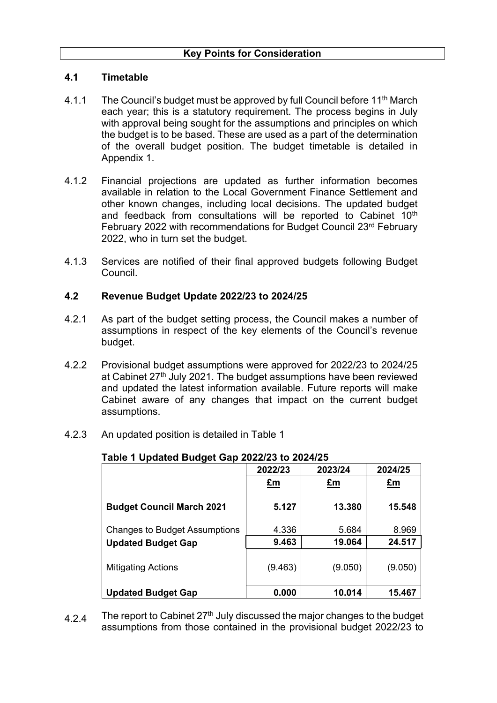### **4.1 Timetable**

- 4.1.1 The Council's budget must be approved by full Council before 11th March each year; this is a statutory requirement. The process begins in July with approval being sought for the assumptions and principles on which the budget is to be based. These are used as a part of the determination of the overall budget position. The budget timetable is detailed in Appendix 1.
- 4.1.2 Financial projections are updated as further information becomes available in relation to the Local Government Finance Settlement and other known changes, including local decisions. The updated budget and feedback from consultations will be reported to Cabinet 10<sup>th</sup> February 2022 with recommendations for Budget Council 23rd February 2022, who in turn set the budget.
- 4.1.3 Services are notified of their final approved budgets following Budget Council.

### **4.2 Revenue Budget Update 2022/23 to 2024/25**

- 4.2.1 As part of the budget setting process, the Council makes a number of assumptions in respect of the key elements of the Council's revenue budget.
- 4.2.2 Provisional budget assumptions were approved for 2022/23 to 2024/25 at Cabinet 27<sup>th</sup> July 2021. The budget assumptions have been reviewed and updated the latest information available. Future reports will make Cabinet aware of any changes that impact on the current budget assumptions.
- 4.2.3 An updated position is detailed in Table 1

| ີ                                    | 2022/23   | 2023/24   | 2024/25     |
|--------------------------------------|-----------|-----------|-------------|
|                                      | <u>£m</u> | <u>£m</u> | $E_{\rm m}$ |
| <b>Budget Council March 2021</b>     | 5.127     | 13.380    | 15.548      |
| <b>Changes to Budget Assumptions</b> | 4.336     | 5.684     | 8.969       |
| <b>Updated Budget Gap</b>            | 9.463     | 19.064    | 24.517      |
| <b>Mitigating Actions</b>            | (9.463)   | (9.050)   | (9.050)     |
| <b>Updated Budget Gap</b>            | 0.000     | 10.014    | 15.467      |

# **Table 1 Updated Budget Gap 2022/23 to 2024/25**

4.2.4 The report to Cabinet  $27<sup>th</sup>$  July discussed the major changes to the budget assumptions from those contained in the provisional budget 2022/23 to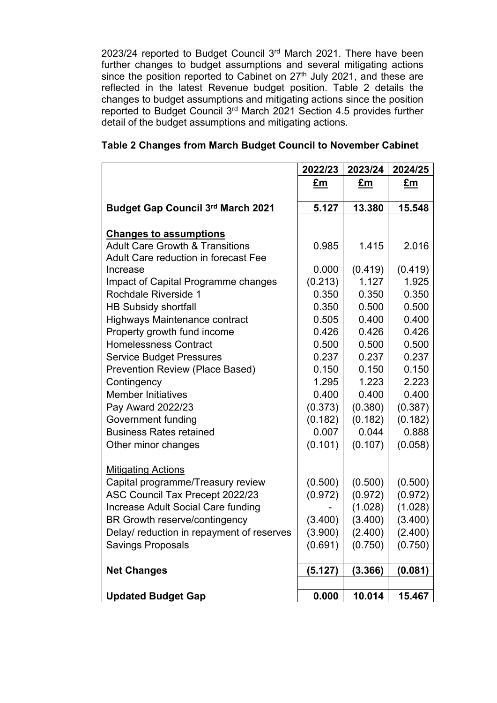2023/24 reported to Budget Council 3<sup>rd</sup> March 2021. There have been further changes to budget assumptions and several mitigating actions since the position reported to Cabinet on  $27<sup>th</sup>$  July 2021, and these are reflected in the latest Revenue budget position. Table 2 details the changes to budget assumptions and mitigating actions since the position reported to Budget Council 3<sup>rd</sup> March 2021 Section 4.5 provides further detail of the budget assumptions and mitigating actions.

|                                             | 2022/23 | 2023/24 | 2024/25 |
|---------------------------------------------|---------|---------|---------|
|                                             | £m      | £m      | £m      |
| <b>Budget Gap Council 3rd March 2021</b>    | 5.127   | 13.380  | 15.548  |
|                                             |         |         |         |
| <b>Changes to assumptions</b>               |         |         |         |
| <b>Adult Care Growth &amp; Transitions</b>  | 0.985   | 1.415   | 2.016   |
| <b>Adult Care reduction in forecast Fee</b> |         |         |         |
| Increase                                    | 0.000   | (0.419) | (0.419) |
| Impact of Capital Programme changes         | (0.213) | 1.127   | 1.925   |
| Rochdale Riverside 1                        | 0.350   | 0.350   | 0.350   |
| <b>HB Subsidy shortfall</b>                 | 0.350   | 0.500   | 0.500   |
| <b>Highways Maintenance contract</b>        | 0.505   | 0.400   | 0.400   |
| Property growth fund income                 | 0.426   | 0.426   | 0.426   |
| <b>Homelessness Contract</b>                | 0.500   | 0.500   | 0.500   |
| <b>Service Budget Pressures</b>             | 0.237   | 0.237   | 0.237   |
| <b>Prevention Review (Place Based)</b>      | 0.150   | 0.150   | 0.150   |
| Contingency                                 | 1.295   | 1.223   | 2.223   |
| <b>Member Initiatives</b>                   | 0.400   | 0.400   | 0.400   |
| Pay Award 2022/23                           | (0.373) | (0.380) | (0.387) |
| Government funding                          | (0.182) | (0.182) | (0.182) |
| <b>Business Rates retained</b>              | 0.007   | 0.044   | 0.888   |
| Other minor changes                         | (0.101) | (0.107) | (0.058) |
|                                             |         |         |         |
| <b>Mitigating Actions</b>                   |         |         |         |
| Capital programme/Treasury review           | (0.500) | (0.500) | (0.500) |
| ASC Council Tax Precept 2022/23             | (0.972) | (0.972) | (0.972) |
| Increase Adult Social Care funding          |         | (1.028) | (1.028) |
| BR Growth reserve/contingency               | (3.400) | (3.400) | (3.400) |
| Delay/ reduction in repayment of reserves   | (3.900) | (2.400) | (2.400) |
| <b>Savings Proposals</b>                    | (0.691) | (0.750) | (0.750) |
|                                             |         |         |         |
| <b>Net Changes</b>                          | (5.127) | (3.366) | (0.081) |
| <b>Updated Budget Gap</b>                   | 0.000   | 10.014  | 15.467  |

# **Table 2 Changes from March Budget Council to November Cabinet**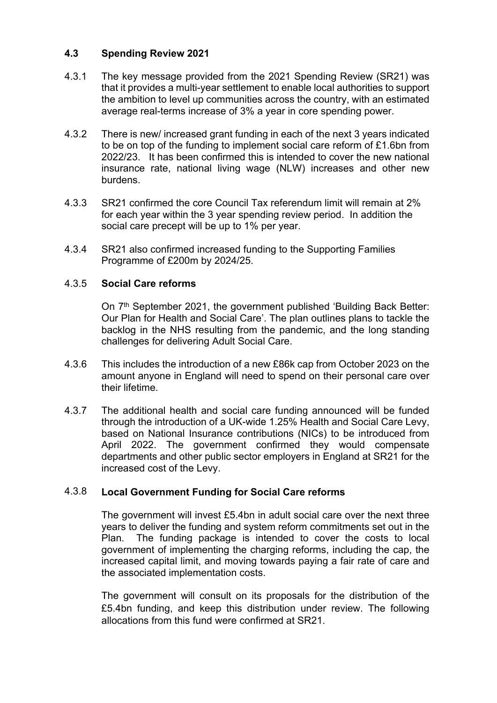### **4.3 Spending Review 2021**

- 4.3.1 The key message provided from the 2021 Spending Review (SR21) was that it provides a multi-year settlement to enable local authorities to support the ambition to level up communities across the country, with an estimated average real-terms increase of 3% a year in core spending power.
- 4.3.2 There is new/ increased grant funding in each of the next 3 years indicated to be on top of the funding to implement social care reform of £1.6bn from 2022/23. It has been confirmed this is intended to cover the new national insurance rate, national living wage (NLW) increases and other new burdens.
- 4.3.3 SR21 confirmed the core Council Tax referendum limit will remain at 2% for each year within the 3 year spending review period. In addition the social care precept will be up to 1% per year.
- 4.3.4 SR21 also confirmed increased funding to the Supporting Families Programme of £200m by 2024/25.

### 4.3.5 **Social Care reforms**

On 7<sup>th</sup> September 2021, the government published 'Building Back Better: Our Plan for Health and Social Care'. The plan outlines plans to tackle the backlog in the NHS resulting from the pandemic, and the long standing challenges for delivering Adult Social Care.

- 4.3.6 This includes the introduction of a new £86k cap from October 2023 on the amount anyone in England will need to spend on their personal care over their lifetime.
- 4.3.7 The additional health and social care funding announced will be funded through the introduction of a UK-wide 1.25% Health and Social Care Levy, based on National Insurance contributions (NICs) to be introduced from April 2022. The government confirmed they would compensate departments and other public sector employers in England at SR21 for the increased cost of the Levy.

## 4.3.8 **Local Government Funding for Social Care reforms**

The government will invest £5.4bn in adult social care over the next three years to deliver the funding and system reform commitments set out in the Plan. The funding package is intended to cover the costs to local government of implementing the charging reforms, including the cap, the increased capital limit, and moving towards paying a fair rate of care and the associated implementation costs.

The government will consult on its proposals for the distribution of the £5.4bn funding, and keep this distribution under review. The following allocations from this fund were confirmed at SR21.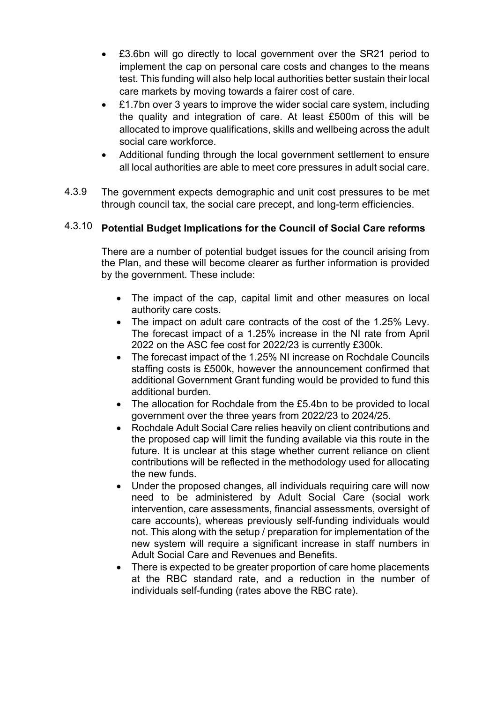- £3.6bn will go directly to local government over the SR21 period to implement the cap on personal care costs and changes to the means test. This funding will also help local authorities better sustain their local care markets by moving towards a fairer cost of care.
- £1.7bn over 3 years to improve the wider social care system, including the quality and integration of care. At least £500m of this will be allocated to improve qualifications, skills and wellbeing across the adult social care workforce.
- Additional funding through the local government settlement to ensure all local authorities are able to meet core pressures in adult social care.
- 4.3.9 The government expects demographic and unit cost pressures to be met through council tax, the social care precept, and long-term efficiencies.

# 4.3.10 **Potential Budget Implications for the Council of Social Care reforms**

There are a number of potential budget issues for the council arising from the Plan, and these will become clearer as further information is provided by the government. These include:

- The impact of the cap, capital limit and other measures on local authority care costs.
- The impact on adult care contracts of the cost of the 1.25% Levy. The forecast impact of a 1.25% increase in the NI rate from April 2022 on the ASC fee cost for 2022/23 is currently £300k.
- The forecast impact of the 1.25% NI increase on Rochdale Councils staffing costs is £500k, however the announcement confirmed that additional Government Grant funding would be provided to fund this additional burden.
- The allocation for Rochdale from the £5.4bn to be provided to local government over the three years from 2022/23 to 2024/25.
- Rochdale Adult Social Care relies heavily on client contributions and the proposed cap will limit the funding available via this route in the future. It is unclear at this stage whether current reliance on client contributions will be reflected in the methodology used for allocating the new funds.
- Under the proposed changes, all individuals requiring care will now need to be administered by Adult Social Care (social work intervention, care assessments, financial assessments, oversight of care accounts), whereas previously self-funding individuals would not. This along with the setup / preparation for implementation of the new system will require a significant increase in staff numbers in Adult Social Care and Revenues and Benefits.
- There is expected to be greater proportion of care home placements at the RBC standard rate, and a reduction in the number of individuals self-funding (rates above the RBC rate).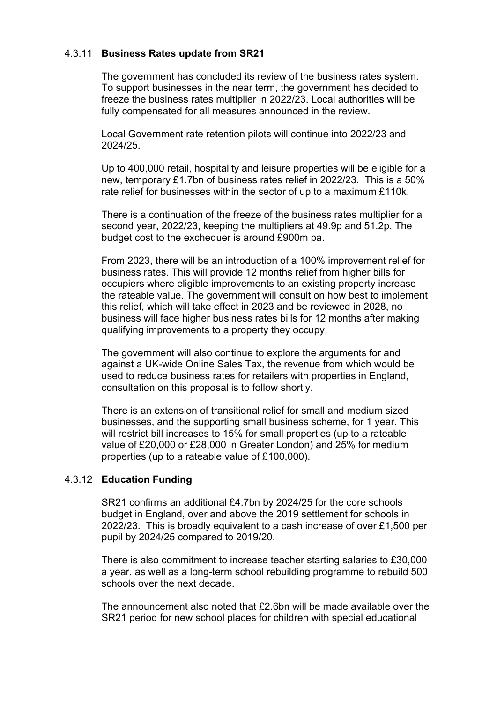# 4.3.11 **Business Rates update from SR21**

The government has concluded its review of the business rates system. To support businesses in the near term, the government has decided to freeze the business rates multiplier in 2022/23. Local authorities will be fully compensated for all measures announced in the review.

Local Government rate retention pilots will continue into 2022/23 and 2024/25.

Up to 400,000 retail, hospitality and leisure properties will be eligible for a new, temporary £1.7bn of business rates relief in 2022/23. This is a 50% rate relief for businesses within the sector of up to a maximum £110k.

There is a continuation of the freeze of the business rates multiplier for a second year, 2022/23, keeping the multipliers at 49.9p and 51.2p. The budget cost to the exchequer is around £900m pa.

From 2023, there will be an introduction of a 100% improvement relief for business rates. This will provide 12 months relief from higher bills for occupiers where eligible improvements to an existing property increase the rateable value. The government will consult on how best to implement this relief, which will take effect in 2023 and be reviewed in 2028, no business will face higher business rates bills for 12 months after making qualifying improvements to a property they occupy.

The government will also continue to explore the arguments for and against a UK-wide Online Sales Tax, the revenue from which would be used to reduce business rates for retailers with properties in England, consultation on this proposal is to follow shortly.

There is an extension of transitional relief for small and medium sized businesses, and the supporting small business scheme, for 1 year. This will restrict bill increases to 15% for small properties (up to a rateable value of £20,000 or £28,000 in Greater London) and 25% for medium properties (up to a rateable value of £100,000).

# 4.3.12 **Education Funding**

SR21 confirms an additional £4.7bn by 2024/25 for the core schools budget in England, over and above the 2019 settlement for schools in 2022/23. This is broadly equivalent to a cash increase of over £1,500 per pupil by 2024/25 compared to 2019/20.

There is also commitment to increase teacher starting salaries to £30,000 a year, as well as a long-term school rebuilding programme to rebuild 500 schools over the next decade.

The announcement also noted that £2.6bn will be made available over the SR21 period for new school places for children with special educational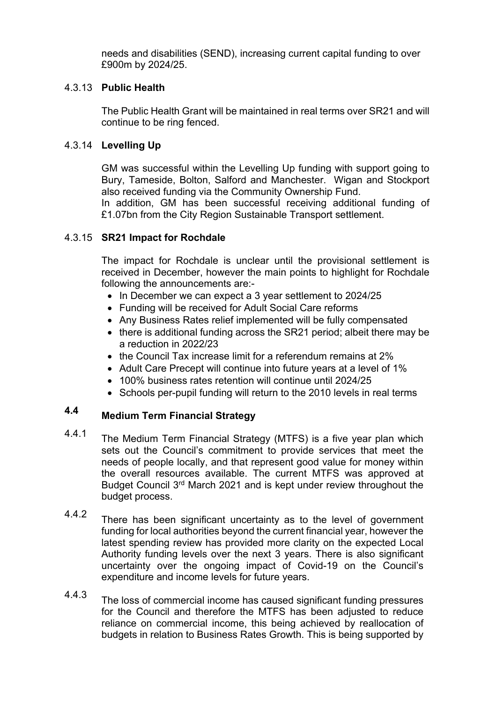needs and disabilities (SEND), increasing current capital funding to over £900m by 2024/25.

# 4.3.13 **Public Health**

The Public Health Grant will be maintained in real terms over SR21 and will continue to be ring fenced.

# 4.3.14 **Levelling Up**

GM was successful within the Levelling Up funding with support going to Bury, Tameside, Bolton, Salford and Manchester. Wigan and Stockport also received funding via the Community Ownership Fund. In addition, GM has been successful receiving additional funding of

£1.07bn from the City Region Sustainable Transport settlement.

# 4.3.15 **SR21 Impact for Rochdale**

The impact for Rochdale is unclear until the provisional settlement is received in December, however the main points to highlight for Rochdale following the announcements are:-

- In December we can expect a 3 year settlement to 2024/25
- Funding will be received for Adult Social Care reforms
- Any Business Rates relief implemented will be fully compensated
- there is additional funding across the SR21 period; albeit there may be a reduction in 2022/23
- the Council Tax increase limit for a referendum remains at 2%
- Adult Care Precept will continue into future years at a level of 1%
- 100% business rates retention will continue until 2024/25
- Schools per-pupil funding will return to the 2010 levels in real terms

# **4.4 Medium Term Financial Strategy**

- 4.4.1 The Medium Term Financial Strategy (MTFS) is a five year plan which sets out the Council's commitment to provide services that meet the needs of people locally, and that represent good value for money within the overall resources available. The current MTFS was approved at Budget Council 3<sup>rd</sup> March 2021 and is kept under review throughout the budget process.
- 4.4.2 There has been significant uncertainty as to the level of government funding for local authorities beyond the current financial year, however the latest spending review has provided more clarity on the expected Local Authority funding levels over the next 3 years. There is also significant uncertainty over the ongoing impact of Covid-19 on the Council's expenditure and income levels for future years.
- 4.4.3 The loss of commercial income has caused significant funding pressures for the Council and therefore the MTFS has been adjusted to reduce reliance on commercial income, this being achieved by reallocation of budgets in relation to Business Rates Growth. This is being supported by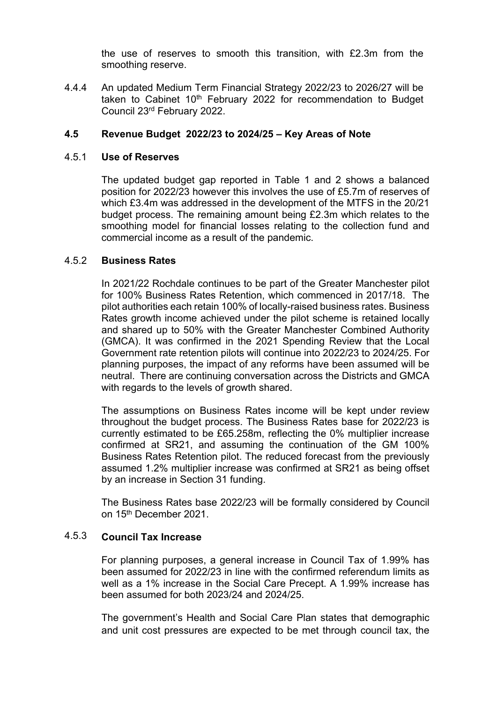the use of reserves to smooth this transition, with £2.3m from the smoothing reserve.

4.4.4 An updated Medium Term Financial Strategy 2022/23 to 2026/27 will be taken to Cabinet 10<sup>th</sup> February 2022 for recommendation to Budget Council 23rd February 2022.

### **4.5 Revenue Budget 2022/23 to 2024/25 – Key Areas of Note**

### 4.5.1 **Use of Reserves**

The updated budget gap reported in Table 1 and 2 shows a balanced position for 2022/23 however this involves the use of £5.7m of reserves of which £3.4m was addressed in the development of the MTFS in the 20/21 budget process. The remaining amount being £2.3m which relates to the smoothing model for financial losses relating to the collection fund and commercial income as a result of the pandemic.

### 4.5.2 **Business Rates**

In 2021/22 Rochdale continues to be part of the Greater Manchester pilot for 100% Business Rates Retention, which commenced in 2017/18. The pilot authorities each retain 100% of locally-raised business rates. Business Rates growth income achieved under the pilot scheme is retained locally and shared up to 50% with the Greater Manchester Combined Authority (GMCA). It was confirmed in the 2021 Spending Review that the Local Government rate retention pilots will continue into 2022/23 to 2024/25. For planning purposes, the impact of any reforms have been assumed will be neutral. There are continuing conversation across the Districts and GMCA with regards to the levels of growth shared.

The assumptions on Business Rates income will be kept under review throughout the budget process. The Business Rates base for 2022/23 is currently estimated to be £65.258m, reflecting the 0% multiplier increase confirmed at SR21, and assuming the continuation of the GM 100% Business Rates Retention pilot. The reduced forecast from the previously assumed 1.2% multiplier increase was confirmed at SR21 as being offset by an increase in Section 31 funding.

The Business Rates base 2022/23 will be formally considered by Council on 15th December 2021.

# 4.5.3 **Council Tax Increase**

For planning purposes, a general increase in Council Tax of 1.99% has been assumed for 2022/23 in line with the confirmed referendum limits as well as a 1% increase in the Social Care Precept. A 1.99% increase has been assumed for both 2023/24 and 2024/25.

The government's Health and Social Care Plan states that demographic and unit cost pressures are expected to be met through council tax, the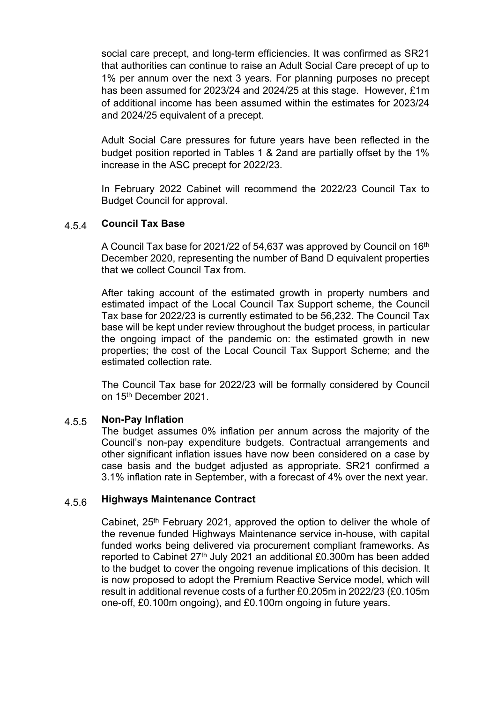social care precept, and long-term efficiencies. It was confirmed as SR21 that authorities can continue to raise an Adult Social Care precept of up to 1% per annum over the next 3 years. For planning purposes no precept has been assumed for 2023/24 and 2024/25 at this stage. However, £1m of additional income has been assumed within the estimates for 2023/24 and 2024/25 equivalent of a precept.

Adult Social Care pressures for future years have been reflected in the budget position reported in Tables 1 & 2and are partially offset by the 1% increase in the ASC precept for 2022/23.

In February 2022 Cabinet will recommend the 2022/23 Council Tax to Budget Council for approval.

### 4.5.4 **Council Tax Base**

A Council Tax base for 2021/22 of 54,637 was approved by Council on 16th December 2020, representing the number of Band D equivalent properties that we collect Council Tax from.

After taking account of the estimated growth in property numbers and estimated impact of the Local Council Tax Support scheme, the Council Tax base for 2022/23 is currently estimated to be 56,232. The Council Tax base will be kept under review throughout the budget process, in particular the ongoing impact of the pandemic on: the estimated growth in new properties; the cost of the Local Council Tax Support Scheme; and the estimated collection rate.

The Council Tax base for 2022/23 will be formally considered by Council on 15th December 2021.

### 4.5.5 **Non-Pay Inflation**

The budget assumes 0% inflation per annum across the majority of the Council's non-pay expenditure budgets. Contractual arrangements and other significant inflation issues have now been considered on a case by case basis and the budget adjusted as appropriate. SR21 confirmed a 3.1% inflation rate in September, with a forecast of 4% over the next year.

### 4.5.6 **Highways Maintenance Contract**

Cabinet,  $25<sup>th</sup>$  February 2021, approved the option to deliver the whole of the revenue funded Highways Maintenance service in-house, with capital funded works being delivered via procurement compliant frameworks. As reported to Cabinet 27th July 2021 an additional £0.300m has been added to the budget to cover the ongoing revenue implications of this decision. It is now proposed to adopt the Premium Reactive Service model, which will result in additional revenue costs of a further £0.205m in 2022/23 (£0.105m one-off, £0.100m ongoing), and £0.100m ongoing in future years.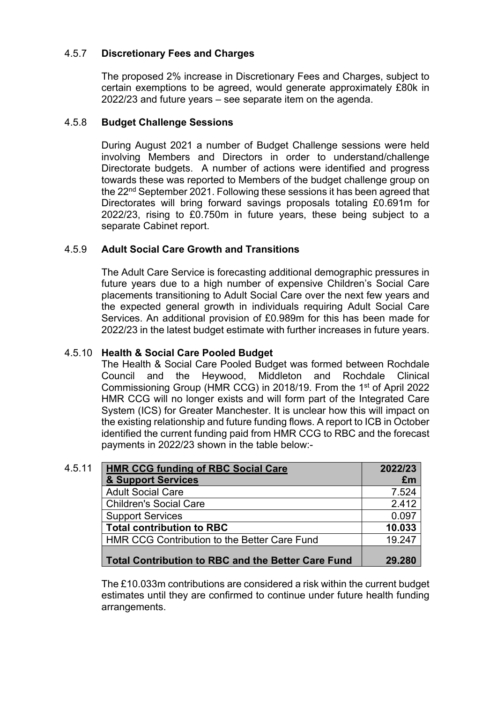### 4.5.7 **Discretionary Fees and Charges**

The proposed 2% increase in Discretionary Fees and Charges, subject to certain exemptions to be agreed, would generate approximately £80k in 2022/23 and future years – see separate item on the agenda.

### 4.5.8 **Budget Challenge Sessions**

During August 2021 a number of Budget Challenge sessions were held involving Members and Directors in order to understand/challenge Directorate budgets. A number of actions were identified and progress towards these was reported to Members of the budget challenge group on the 22nd September 2021. Following these sessions it has been agreed that Directorates will bring forward savings proposals totaling £0.691m for 2022/23, rising to £0.750m in future years, these being subject to a separate Cabinet report.

### 4.5.9 **Adult Social Care Growth and Transitions**

The Adult Care Service is forecasting additional demographic pressures in future years due to a high number of expensive Children's Social Care placements transitioning to Adult Social Care over the next few years and the expected general growth in individuals requiring Adult Social Care Services. An additional provision of £0.989m for this has been made for 2022/23 in the latest budget estimate with further increases in future years.

# 4.5.10 **Health & Social Care Pooled Budget**

The Health & Social Care Pooled Budget was formed between Rochdale Council and the Heywood, Middleton and Rochdale Clinical Commissioning Group (HMR CCG) in 2018/19. From the 1 st of April 2022 HMR CCG will no longer exists and will form part of the Integrated Care System (ICS) for Greater Manchester. It is unclear how this will impact on the existing relationship and future funding flows. A report to ICB in October identified the current funding paid from HMR CCG to RBC and the forecast payments in 2022/23 shown in the table below:-

| 4.5.11 | <b>HMR CCG funding of RBC Social Care</b>                 | 2022/23 |
|--------|-----------------------------------------------------------|---------|
|        | & Support Services                                        | £m      |
|        | <b>Adult Social Care</b>                                  | 7.524   |
|        | <b>Children's Social Care</b>                             | 2.412   |
|        | <b>Support Services</b>                                   | 0.097   |
|        | <b>Total contribution to RBC</b>                          | 10.033  |
|        | HMR CCG Contribution to the Better Care Fund              | 19.247  |
|        |                                                           |         |
|        | <b>Total Contribution to RBC and the Better Care Fund</b> | 29.280  |

The £10.033m contributions are considered a risk within the current budget estimates until they are confirmed to continue under future health funding arrangements.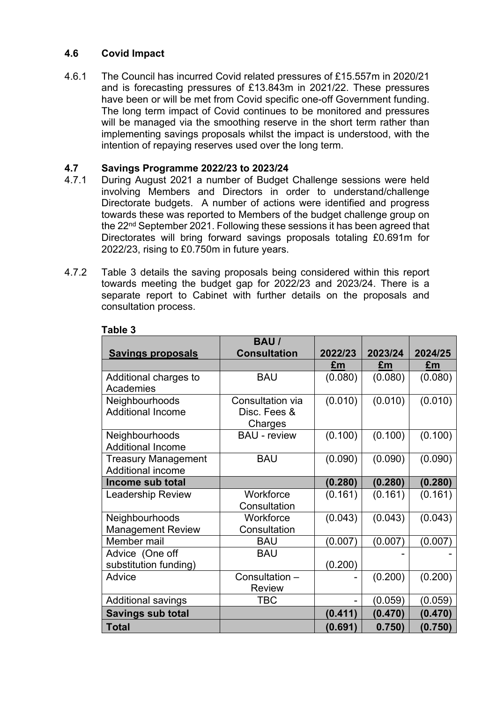### **4.6 Covid Impact**

4.6.1 The Council has incurred Covid related pressures of £15.557m in 2020/21 and is forecasting pressures of £13.843m in 2021/22. These pressures have been or will be met from Covid specific one-off Government funding. The long term impact of Covid continues to be monitored and pressures will be managed via the smoothing reserve in the short term rather than implementing savings proposals whilst the impact is understood, with the intention of repaying reserves used over the long term.

### **4.7 Savings Programme 2022/23 to 2023/24**

- 4.7.1 During August 2021 a number of Budget Challenge sessions were held involving Members and Directors in order to understand/challenge Directorate budgets. A number of actions were identified and progress towards these was reported to Members of the budget challenge group on the 22nd September 2021. Following these sessions it has been agreed that Directorates will bring forward savings proposals totaling £0.691m for 2022/23, rising to £0.750m in future years.
- 4.7.2 Table 3 details the saving proposals being considered within this report towards meeting the budget gap for 2022/23 and 2023/24. There is a separate report to Cabinet with further details on the proposals and consultation process.

|                            | <b>BAU/</b>         |         |         |         |
|----------------------------|---------------------|---------|---------|---------|
| <b>Savings proposals</b>   | <b>Consultation</b> | 2022/23 | 2023/24 | 2024/25 |
|                            |                     | £m      | £m      | £m      |
| Additional charges to      | <b>BAU</b>          | (0.080) | (0.080) | (0.080) |
| Academies                  |                     |         |         |         |
| Neighbourhoods             | Consultation via    | (0.010) | (0.010) | (0.010) |
| <b>Additional Income</b>   | Disc. Fees &        |         |         |         |
|                            | Charges             |         |         |         |
| Neighbourhoods             | <b>BAU</b> - review | (0.100) | (0.100) | (0.100) |
| <b>Additional Income</b>   |                     |         |         |         |
| <b>Treasury Management</b> | <b>BAU</b>          | (0.090) | (0.090) | (0.090) |
| Additional income          |                     |         |         |         |
| Income sub total           |                     | (0.280) | (0.280) | (0.280) |
| <b>Leadership Review</b>   | Workforce           | (0.161) | (0.161) | (0.161) |
|                            | Consultation        |         |         |         |
| Neighbourhoods             | Workforce           | (0.043) | (0.043) | (0.043) |
| <b>Management Review</b>   | Consultation        |         |         |         |
| Member mail                | <b>BAU</b>          | (0.007) | (0.007) | (0.007) |
| Advice (One off            | <b>BAU</b>          |         |         |         |
| substitution funding)      |                     | (0.200) |         |         |
| Advice                     | Consultation -      |         | (0.200) | (0.200) |
|                            | <b>Review</b>       |         |         |         |
| <b>Additional savings</b>  | <b>TBC</b>          |         | (0.059) | (0.059) |
| <b>Savings sub total</b>   |                     | (0.411) | (0.470) | (0.470) |
| <b>Total</b>               |                     | (0.691) | 0.750)  | (0.750) |

# **Table 3**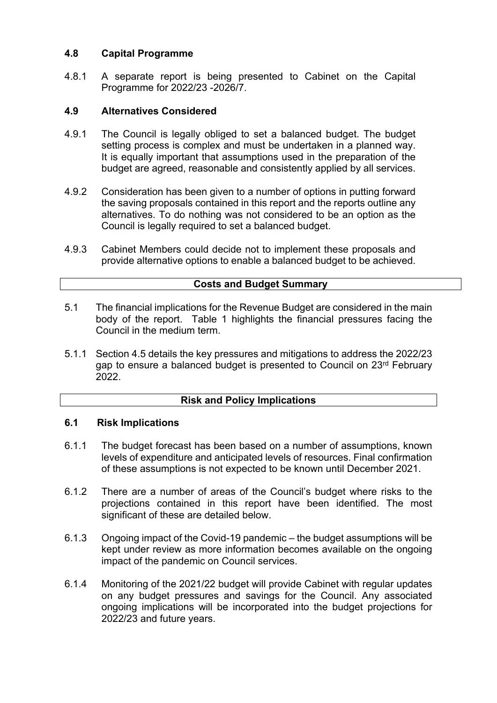### **4.8 Capital Programme**

4.8.1 A separate report is being presented to Cabinet on the Capital Programme for 2022/23 -2026/7.

### **4.9 Alternatives Considered**

- 4.9.1 The Council is legally obliged to set a balanced budget. The budget setting process is complex and must be undertaken in a planned way. It is equally important that assumptions used in the preparation of the budget are agreed, reasonable and consistently applied by all services.
- 4.9.2 Consideration has been given to a number of options in putting forward the saving proposals contained in this report and the reports outline any alternatives. To do nothing was not considered to be an option as the Council is legally required to set a balanced budget.
- 4.9.3 Cabinet Members could decide not to implement these proposals and provide alternative options to enable a balanced budget to be achieved.

# **Costs and Budget Summary**

- 5.1 The financial implications for the Revenue Budget are considered in the main body of the report. Table 1 highlights the financial pressures facing the Council in the medium term.
- 5.1.1 Section 4.5 details the key pressures and mitigations to address the 2022/23 gap to ensure a balanced budget is presented to Council on 23rd February 2022.

# **Risk and Policy Implications**

### **6.1 Risk Implications**

- 6.1.1 The budget forecast has been based on a number of assumptions, known levels of expenditure and anticipated levels of resources. Final confirmation of these assumptions is not expected to be known until December 2021.
- 6.1.2 There are a number of areas of the Council's budget where risks to the projections contained in this report have been identified. The most significant of these are detailed below.
- 6.1.3 Ongoing impact of the Covid-19 pandemic – the budget assumptions will be kept under review as more information becomes available on the ongoing impact of the pandemic on Council services.
- 6.1.4 Monitoring of the 2021/22 budget will provide Cabinet with regular updates on any budget pressures and savings for the Council. Any associated ongoing implications will be incorporated into the budget projections for 2022/23 and future years.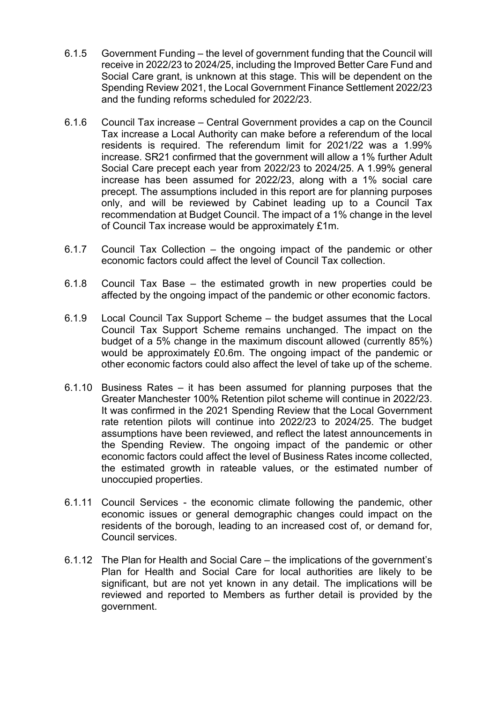- 6.1.5 Government Funding – the level of government funding that the Council will receive in 2022/23 to 2024/25, including the Improved Better Care Fund and Social Care grant, is unknown at this stage. This will be dependent on the Spending Review 2021, the Local Government Finance Settlement 2022/23 and the funding reforms scheduled for 2022/23.
- 6.1.6 Council Tax increase – Central Government provides a cap on the Council Tax increase a Local Authority can make before a referendum of the local residents is required. The referendum limit for 2021/22 was a 1.99% increase. SR21 confirmed that the government will allow a 1% further Adult Social Care precept each year from 2022/23 to 2024/25. A 1.99% general increase has been assumed for 2022/23, along with a 1% social care precept. The assumptions included in this report are for planning purposes only, and will be reviewed by Cabinet leading up to a Council Tax recommendation at Budget Council. The impact of a 1% change in the level of Council Tax increase would be approximately £1m.
- 6.1.7 Council Tax Collection – the ongoing impact of the pandemic or other economic factors could affect the level of Council Tax collection.
- 6.1.8 Council Tax Base – the estimated growth in new properties could be affected by the ongoing impact of the pandemic or other economic factors.
- 6.1.9 Local Council Tax Support Scheme – the budget assumes that the Local Council Tax Support Scheme remains unchanged. The impact on the budget of a 5% change in the maximum discount allowed (currently 85%) would be approximately £0.6m. The ongoing impact of the pandemic or other economic factors could also affect the level of take up of the scheme.
- 6.1.10 Business Rates it has been assumed for planning purposes that the Greater Manchester 100% Retention pilot scheme will continue in 2022/23. It was confirmed in the 2021 Spending Review that the Local Government rate retention pilots will continue into 2022/23 to 2024/25. The budget assumptions have been reviewed, and reflect the latest announcements in the Spending Review. The ongoing impact of the pandemic or other economic factors could affect the level of Business Rates income collected, the estimated growth in rateable values, or the estimated number of unoccupied properties.
- 6.1.11 Council Services the economic climate following the pandemic, other economic issues or general demographic changes could impact on the residents of the borough, leading to an increased cost of, or demand for, Council services.
- 6.1.12 The Plan for Health and Social Care the implications of the government's Plan for Health and Social Care for local authorities are likely to be significant, but are not yet known in any detail. The implications will be reviewed and reported to Members as further detail is provided by the government.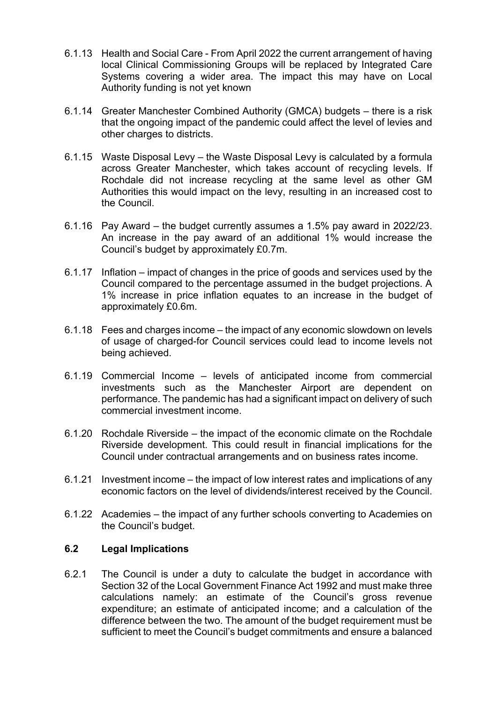- 6.1.13 Health and Social Care From April 2022 the current arrangement of having local Clinical Commissioning Groups will be replaced by Integrated Care Systems covering a wider area. The impact this may have on Local Authority funding is not yet known
- 6.1.14 Greater Manchester Combined Authority (GMCA) budgets there is a risk that the ongoing impact of the pandemic could affect the level of levies and other charges to districts.
- 6.1.15 Waste Disposal Levy the Waste Disposal Levy is calculated by a formula across Greater Manchester, which takes account of recycling levels. If Rochdale did not increase recycling at the same level as other GM Authorities this would impact on the levy, resulting in an increased cost to the Council.
- 6.1.16 Pay Award the budget currently assumes a 1.5% pay award in 2022/23. An increase in the pay award of an additional 1% would increase the Council's budget by approximately £0.7m.
- 6.1.17 Inflation impact of changes in the price of goods and services used by the Council compared to the percentage assumed in the budget projections. A 1% increase in price inflation equates to an increase in the budget of approximately £0.6m.
- 6.1.18 Fees and charges income the impact of any economic slowdown on levels of usage of charged-for Council services could lead to income levels not being achieved.
- 6.1.19 Commercial Income levels of anticipated income from commercial investments such as the Manchester Airport are dependent on performance. The pandemic has had a significant impact on delivery of such commercial investment income.
- 6.1.20 Rochdale Riverside the impact of the economic climate on the Rochdale Riverside development. This could result in financial implications for the Council under contractual arrangements and on business rates income.
- 6.1.21 Investment income the impact of low interest rates and implications of any economic factors on the level of dividends/interest received by the Council.
- 6.1.22 Academies the impact of any further schools converting to Academies on the Council's budget.

### **6.2 Legal Implications**

6.2.1 The Council is under a duty to calculate the budget in accordance with Section 32 of the Local Government Finance Act 1992 and must make three calculations namely: an estimate of the Council's gross revenue expenditure; an estimate of anticipated income; and a calculation of the difference between the two. The amount of the budget requirement must be sufficient to meet the Council's budget commitments and ensure a balanced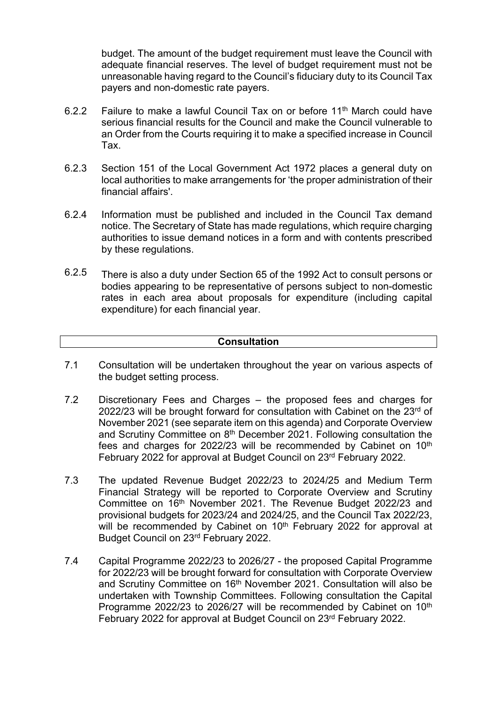budget. The amount of the budget requirement must leave the Council with adequate financial reserves. The level of budget requirement must not be unreasonable having regard to the Council's fiduciary duty to its Council Tax payers and non-domestic rate payers.

- Failure to make a lawful Council Tax on or before 11th March could have serious financial results for the Council and make the Council vulnerable to an Order from the Courts requiring it to make a specified increase in Council Tax. 6.2.2
- Section 151 of the Local Government Act 1972 places a general duty on local authorities to make arrangements for 'the proper administration of their financial affairs'. 6.2.3
- Information must be published and included in the Council Tax demand notice. The Secretary of State has made regulations, which require charging authorities to issue demand notices in a form and with contents prescribed by these regulations. 6.2.4
- There is also a duty under Section 65 of the 1992 Act to consult persons or bodies appearing to be representative of persons subject to non-domestic rates in each area about proposals for expenditure (including capital expenditure) for each financial year. 6.2.5

# **Consultation**

- 7.1 Consultation will be undertaken throughout the year on various aspects of the budget setting process.
- 7.2 Discretionary Fees and Charges – the proposed fees and charges for 2022/23 will be brought forward for consultation with Cabinet on the  $23<sup>rd</sup>$  of November 2021 (see separate item on this agenda) and Corporate Overview and Scrutiny Committee on 8<sup>th</sup> December 2021. Following consultation the fees and charges for 2022/23 will be recommended by Cabinet on  $10<sup>th</sup>$ February 2022 for approval at Budget Council on 23rd February 2022.
- 7.3 The updated Revenue Budget 2022/23 to 2024/25 and Medium Term Financial Strategy will be reported to Corporate Overview and Scrutiny Committee on 16th November 2021. The Revenue Budget 2022/23 and provisional budgets for 2023/24 and 2024/25, and the Council Tax 2022/23, will be recommended by Cabinet on 10<sup>th</sup> February 2022 for approval at Budget Council on 23rd February 2022.
- 7.4 Capital Programme 2022/23 to 2026/27 - the proposed Capital Programme for 2022/23 will be brought forward for consultation with Corporate Overview and Scrutiny Committee on 16th November 2021. Consultation will also be undertaken with Township Committees. Following consultation the Capital Programme 2022/23 to 2026/27 will be recommended by Cabinet on 10<sup>th</sup> February 2022 for approval at Budget Council on 23rd February 2022.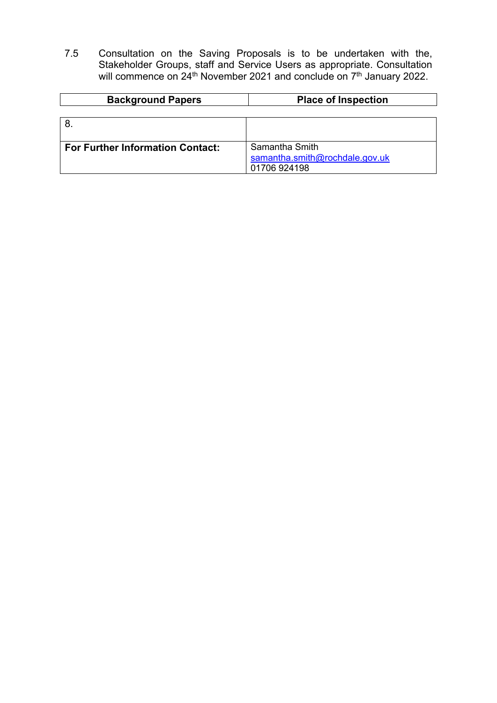7.5 Consultation on the Saving Proposals is to be undertaken with the, Stakeholder Groups, staff and Service Users as appropriate. Consultation will commence on 24<sup>th</sup> November 2021 and conclude on 7<sup>th</sup> January 2022.

| <b>Background Papers</b>                | <b>Place of Inspection</b>     |
|-----------------------------------------|--------------------------------|
|                                         |                                |
| 8                                       |                                |
|                                         |                                |
| <b>For Further Information Contact:</b> | Samantha Smith                 |
|                                         | samantha.smith@rochdale.gov.uk |
|                                         | 01706 924198                   |